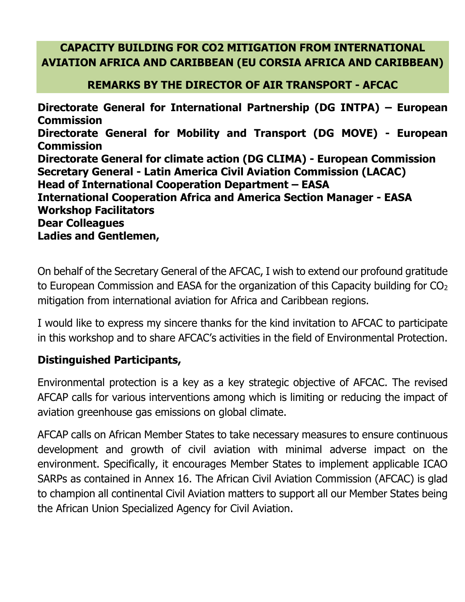#### **CAPACITY BUILDING FOR CO2 MITIGATION FROM INTERNATIONAL AVIATION AFRICA AND CARIBBEAN (EU CORSIA AFRICA AND CARIBBEAN)**

#### **REMARKS BY THE DIRECTOR OF AIR TRANSPORT - AFCAC**

**Directorate General for International Partnership (DG INTPA) – European Commission Directorate General for Mobility and Transport (DG MOVE) - European Commission Directorate General for climate action (DG CLIMA) - European Commission Secretary General - Latin America Civil Aviation Commission (LACAC) Head of International Cooperation Department – EASA International Cooperation Africa and America Section Manager - EASA Workshop Facilitators Dear Colleagues Ladies and Gentlemen,**

On behalf of the Secretary General of the AFCAC, I wish to extend our profound gratitude to European Commission and EASA for the organization of this Capacity building for  $CO<sub>2</sub>$ mitigation from international aviation for Africa and Caribbean regions.

I would like to express my sincere thanks for the kind invitation to AFCAC to participate in this workshop and to share AFCAC's activities in the field of Environmental Protection.

#### **Distinguished Participants,**

Environmental protection is a key as a key strategic objective of AFCAC. The revised AFCAP calls for various interventions among which is limiting or reducing the impact of aviation greenhouse gas emissions on global climate.

AFCAP calls on African Member States to take necessary measures to ensure continuous development and growth of civil aviation with minimal adverse impact on the environment. Specifically, it encourages Member States to implement applicable ICAO SARPs as contained in Annex 16. The African Civil Aviation Commission (AFCAC) is glad to champion all continental Civil Aviation matters to support all our Member States being the African Union Specialized Agency for Civil Aviation.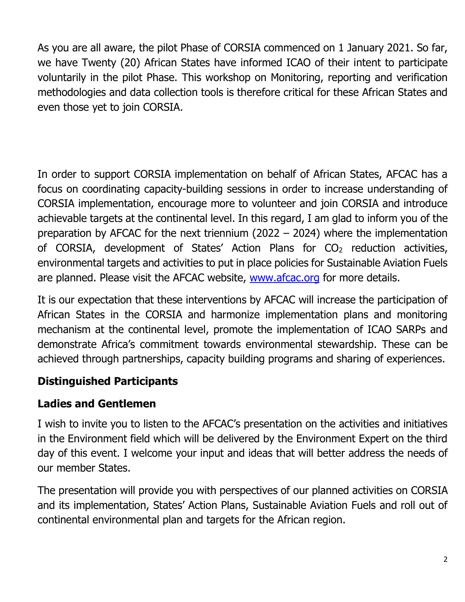As you are all aware, the pilot Phase of CORSIA commenced on 1 January 2021. So far, we have Twenty (20) African States have informed ICAO of their intent to participate voluntarily in the pilot Phase. This workshop on Monitoring, reporting and verification methodologies and data collection tools is therefore critical for these African States and even those yet to join CORSIA.

In order to support CORSIA implementation on behalf of African States, AFCAC has a focus on coordinating capacity-building sessions in order to increase understanding of CORSIA implementation, encourage more to volunteer and join CORSIA and introduce achievable targets at the continental level. In this regard, I am glad to inform you of the preparation by AFCAC for the next triennium (2022 – 2024) where the implementation of CORSIA, development of States' Action Plans for  $CO<sub>2</sub>$  reduction activities, environmental targets and activities to put in place policies for Sustainable Aviation Fuels are planned. Please visit the AFCAC website, [www.afcac.org](http://www.afcac.org/) for more details.

It is our expectation that these interventions by AFCAC will increase the participation of African States in the CORSIA and harmonize implementation plans and monitoring mechanism at the continental level, promote the implementation of ICAO SARPs and demonstrate Africa's commitment towards environmental stewardship. These can be achieved through partnerships, capacity building programs and sharing of experiences.

## **Distinguished Participants**

# **Ladies and Gentlemen**

I wish to invite you to listen to the AFCAC's presentation on the activities and initiatives in the Environment field which will be delivered by the Environment Expert on the third day of this event. I welcome your input and ideas that will better address the needs of our member States.

The presentation will provide you with perspectives of our planned activities on CORSIA and its implementation, States' Action Plans, Sustainable Aviation Fuels and roll out of continental environmental plan and targets for the African region.